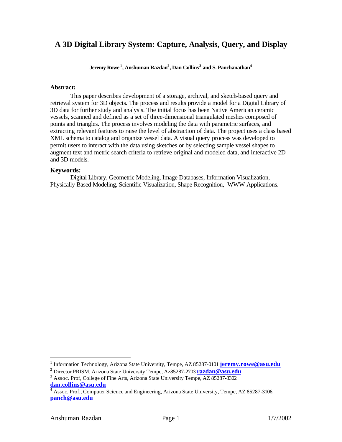## **A 3D Digital Library System: Capture, Analysis, Query, and Display**

**Jeremy Rowe <sup>1</sup> , Anshuman Razdan<sup>2</sup> , Dan Collins<sup>3</sup> and S. Panchanathan<sup>4</sup>**

#### **Abstract:**

This paper describes development of a storage, archival, and sketch-based query and retrieval system for 3D objects. The process and results provide a model for a Digital Library of 3D data for further study and analysis. The initial focus has been Native American ceramic vessels, scanned and defined as a set of three-dimensional triangulated meshes composed of points and triangles. The process involves modeling the data with parametric surfaces, and extracting relevant features to raise the level of abstraction of data. The project uses a class based XML schema to catalog and organize vessel data. A visual query process was developed to permit users to interact with the data using sketches or by selecting sample vessel shapes to augment text and metric search criteria to retrieve original and modeled data, and interactive 2D and 3D models.

#### **Keywords:**

Digital Library, Geometric Modeling, Image Databases, Information Visualization, Physically Based Modeling, Scientific Visualization, Shape Recognition, WWW Applications.

 $\overline{a}$ 

<sup>&</sup>lt;sup>1</sup> Information Technology, Arizona State University, Tempe, AZ 85287-0101 **jeremy.rowe@asu.edu** 

<sup>2</sup> Director PRISM, Arizona State University Tempe, Az85287-2703 **razdan@asu.edu**

<sup>&</sup>lt;sup>3</sup> Assoc. Prof, College of Fine Arts, Arizona State University Tempe, AZ 85287-3302 **dan.collins@asu.edu**

<sup>4</sup> Assoc. Prof., Computer Science and Engineering, Arizona State University, Tempe, AZ 85287-3106, **panch@asu.edu**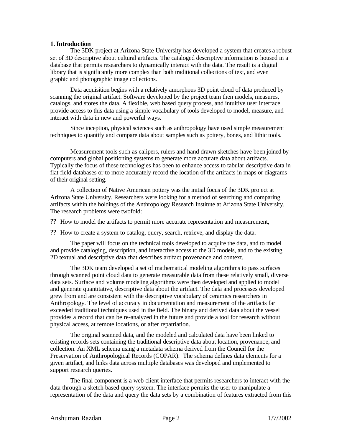#### **1. Introduction**

The 3DK project at Arizona State University has developed a system that creates a robust set of 3D descriptive about cultural artifacts. The cataloged descriptive information is housed in a database that permits researchers to dynamically interact with the data. The result is a digital library that is significantly more complex than both traditional collections of text, and even graphic and photographic image collections.

Data acquisition begins with a relatively amorphous 3D point cloud of data produced by scanning the original artifact. Software developed by the project team then models, measures, catalogs, and stores the data. A flexible, web based query process, and intuitive user interface provide access to this data using a simple vocabulary of tools developed to model, measure, and interact with data in new and powerful ways.

Since inception, physical sciences such as anthropology have used simple measurement techniques to quantify and compare data about samples such as pottery, bones, and lithic tools.

Measurement tools such as calipers, rulers and hand drawn sketches have been joined by computers and global positioning systems to generate more accurate data about artifacts. Typically the focus of these technologies has been to enhance access to tabular descriptive data in flat field databases or to more accurately record the location of the artifacts in maps or diagrams of their original setting.

A collection of Native American pottery was the initial focus of the 3DK project at Arizona State University. Researchers were looking for a method of searching and comparing artifacts within the holdings of the Anthropology Research Institute at Arizona State University. The research problems were twofold:

?? How to model the artifacts to permit more accurate representation and measurement,

?? How to create a system to catalog, query, search, retrieve, and display the data.

The paper will focus on the technical tools developed to acquire the data, and to model and provide cataloging, description, and interactive access to the 3D models, and to the existing 2D textual and descriptive data that describes artifact provenance and context.

The 3DK team developed a set of mathematical modeling algorithms to pass surfaces through scanned point cloud data to generate measurable data from these relatively small, diverse data sets. Surface and volume modeling algorithms were then developed and applied to model and generate quantitative, descriptive data about the artifact. The data and processes developed grew from and are consistent with the descriptive vocabulary of ceramics researchers in Anthropology. The level of accuracy in documentation and measurement of the artifacts far exceeded traditional techniques used in the field. The binary and derived data about the vessel provides a record that can be re-analyzed in the future and provide a tool for research without physical access, at remote locations, or after repatriation.

The original scanned data, and the modeled and calculated data have been linked to existing records sets containing the traditional descriptive data about location, provenance, and collection. An XML schema using a metadata schema derived from the Council for the Preservation of Anthropological Records (COPAR). The schema defines data elements for a given artifact, and links data across multiple databases was developed and implemented to support research queries.

The final component is a web client interface that permits researchers to interact with the data through a sketch-based query system. The interface permits the user to manipulate a representation of the data and query the data sets by a combination of features extracted from this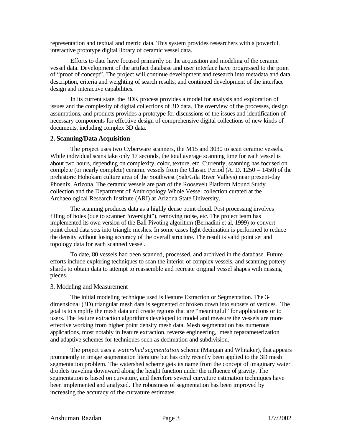representation and textual and metric data. This system provides researchers with a powerful, interactive prototype digital library of ceramic vessel data.

Efforts to date have focused primarily on the acquisition and modeling of the ceramic vessel data. Development of the artifact database and user interface have progressed to the point of "proof of concept". The project will continue development and research into metadata and data description, criteria and weighting of search results, and continued development of the interface design and interactive capabilities.

In its current state, the 3DK process provides a model for analysis and exploration of issues and the complexity of digital collections of 3D data. The overview of the processes, design assumptions, and products provides a prototype for discussions of the issues and identification of necessary components for effective design of comprehensive digital collections of new kinds of documents, including complex 3D data.

#### **2. Scanning/Data Acquisition**

The project uses two Cyberware scanners, the M15 and 3030 to scan ceramic vessels. While individual scans take only 17 seconds, the total average scanning time for each vessel is about two hours, depending on complexity, color, texture, etc. Currently, scanning has focused on complete (or nearly complete) ceramic vessels from the Classic Period (A. D. 1250 – 1450) of the prehistoric Hohokam culture area of the Southwest (Salt/Gila River Valleys) near present-day Phoenix, Arizona. The ceramic vessels are part of the Roosevelt Platform Mound Study collection and the Department of Anthropology Whole Vessel collection curated at the Archaeological Research Institute (ARI) at Arizona State University.

The scanning produces data as a highly dense point cloud. Post processing involves filling of holes (due to scanner "oversight"), removing noise, etc. The project team has implemented its own version of the Ball Pivoting algorithm (Bernadini et al, 1999) to convert point cloud data sets into triangle meshes. In some cases light decimation is performed to reduce the density without losing accuracy of the overall structure. The result is valid point set and topology data for each scanned vessel.

To date, 80 vessels had been scanned, processed, and archived in the database. Future efforts include exploring techniques to scan the interior of complex vessels, and scanning pottery shards to obtain data to attempt to reassemble and recreate original vessel shapes with missing pieces.

#### 3. Modeling and Measurement

The initial modeling technique used is Feature Extraction or Segmentation. The 3 dimensional (3D) triangular mesh data is segmented or broken down into subsets of vertices. The goal is to simplify the mesh data and create regions that are "meaningful" for applications or to users. The feature extraction algorithms developed to model and measure the vessels are more effective working from higher point density mesh data. Mesh segmentation has numerous applications, most notably in feature extraction, reverse engineering, mesh reparameterization and adaptive schemes for techniques such as decimation and subdivision.

The project uses a *watershed segmentation* scheme (Mangan and Whitaker), that appears prominently in image segmentation literature but has only recently been applied to the 3D mesh segmentation problem. The watershed scheme gets its name from the concept of imaginary water droplets traveling downward along the height function under the influence of gravity. The segmentation is based on curvature, and therefore several curvature estimation techniques have been implemented and analyzed. The robustness of segmentation has been improved by increasing the accuracy of the curvature estimates.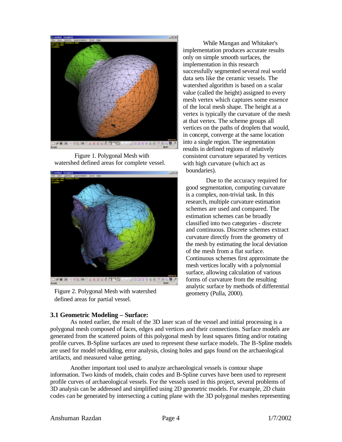

Figure 1. Polygonal Mesh with watershed defined areas for complete vessel.



Figure 2. Polygonal Mesh with watershed defined areas for partial vessel.

While Mangan and Whitaker's implementation produces accurate results only on simple smooth surfaces, the implementation in this research successfully segmented several real world data sets like the ceramic vessels. The watershed algorithm is based on a scalar value (called the height) assigned to every mesh vertex which captures some essence of the local mesh shape. The height at a vertex is typically the curvature of the mesh at that vertex. The scheme groups all vertices on the paths of droplets that would, in concept, converge at the same location into a single region. The segmentation results in defined regions of relatively consistent curvature separated by vertices with high curvature (which act as boundaries).

Due to the accuracy required for good segmentation, computing curvature is a complex, non-trivial task. In this research, multiple curvature estimation schemes are used and compared. The estimation schemes can be broadly classified into two categories - discrete and continuous. Discrete schemes extract curvature directly from the geometry of the mesh by estimating the local deviation of the mesh from a flat surface. Continuous schemes first approximate the mesh vertices locally with a polynomial surface, allowing calculation of various forms of curvature from the resulting analytic surface by methods of differential geometry (Pulla, 2000).

## **3.1 Geometric Modeling – Surface:**

As noted earlier, the result of the 3D laser scan of the vessel and initial processing is a polygonal mesh composed of faces, edges and vertices and their connections. Surface models are generated from the scattered points of this polygonal mesh by least squares fitting and/or rotating profile curves. B-Spline surfaces are used to represent these surface models. The B-Spline models are used for model rebuilding, error analysis, closing holes and gaps found on the archaeological artifacts, and measured value getting.

Another important tool used to analyze archaeological vessels is contour shape information. Two kinds of models, chain codes and B-Spline curves have been used to represent profile curves of archaeological vessels. For the vessels used in this project, several problems of 3D analysis can be addressed and simplified using 2D geometric models. For example, 2D chain codes can be generated by intersecting a cutting plane with the 3D polygonal meshes representing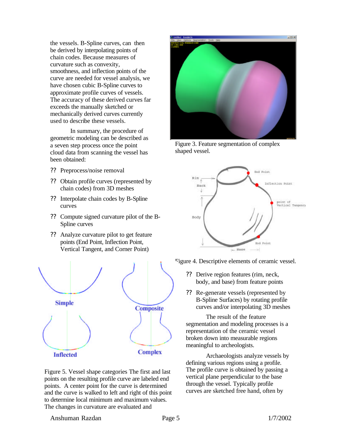the vessels. B-Spline curves, can then be derived by interpolating points of chain codes. Because measures of curvature such as convexity, smoothness, and inflection points of the curve are needed for vessel analysis, we have chosen cubic B-Spline curves to approximate profile curves of vessels. The accuracy of these derived curves far exceeds the manually sketched or mechanically derived curves currently used to describe these vessels.

In summary, the procedure of geometric modeling can be described as a seven step process once the point cloud data from scanning the vessel has been obtained:

- ?? Preprocess/noise removal
- ?? Obtain profile curves (represented by chain codes) from 3D meshes
- ?? Interpolate chain codes by B-Spline curves
- ?? Compute signed curvature pilot of the B-Spline curves
- ?? Analyze curvature pilot to get feature points (End Point, Inflection Point, Vertical Tangent, and Corner Point)



Figure 5. Vessel shape categories The first and last points on the resulting profile curve are labeled end points. A center point for the curve is determined and the curve is walked to left and right of this point to determine local minimum and maximum values. The changes in curvature are evaluated and



Figure 3. Feature segmentation of complex shaped vessel.



Figure 4. Descriptive elements of ceramic vessel.

- ?? Derive region features (rim, neck, body, and base) from feature points
- ?? Re-generate vessels (represented by B-Spline Surfaces) by rotating profile curves and/or interpolating 3D meshes

The result of the feature segmentation and modeling processes is a representation of the ceramic vessel broken down into measurable regions meaningful to archeologists.

Archaeologists analyze vessels by defining various regions using a profile. The profile curve is obtained by passing a vertical plane perpendicular to the base through the vessel. Typically profile curves are sketched free hand, often by

#### Anshuman Razdan Page 5 1/7/2002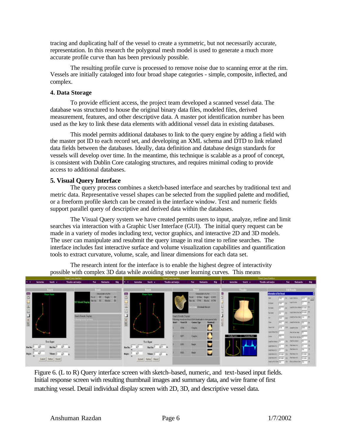tracing and duplicating half of the vessel to create a symmetric, but not necessarily accurate, representation. In this research the polygonal mesh model is used to generate a much more accurate profile curve than has been previously possible.

The resulting profile curve is processed to remove noise due to scanning error at the rim. Vessels are initially cataloged into four broad shape categories - simple, composite, inflected, and complex.

#### **4. Data Storage**

To provide efficient access, the project team developed a scanned vessel data. The database was structured to house the original binary data files, modeled files, derived measurement, features, and other descriptive data. A master pot identification number has been used as the key to link these data elements with additional vessel data in existing databases.

This model permits additional databases to link to the query engine by adding a field with the master pot ID to each record set, and developing an XML schema and DTD to link related data fields between the databases. Ideally, data definition and database design standards for vessels will develop over time. In the meantime, this technique is scalable as a proof of concept, is consistent with Dublin Core cataloging structures, and requires minimal coding to provide access to additional databases.

#### **5. Visual Query Interface**

The query process combines a sketch-based interface and searches by traditional text and metric data. Representative vessel shapes can be selected from the supplied palette and modified, or a freeform profile sketch can be created in the interface window. Text and numeric fields support parallel query of descriptive and derived data within the databases.

The Visual Query system we have created permits users to input, analyze, refine and limit searches via interaction with a Graphic User Interface (GUI). The initial query request can be made in a variety of modes including text, vector graphics, and interactive 2D and 3D models. The user can manipulate and resubmit the query image in real time to refine searches. The interface includes fast interactive surface and volume visualization capabilities and quantification tools to extract curvature, volume, scale, and linear dimensions for each data set.

**BIRTHERS** Deed bit shift 同 Omediated allow **Business Controllers** i ve  $\frac{1}{2}$ **New York Grat**  $\overline{1}$ See **Sectional Date**  $\Box$ di Tanda?  $\frac{1}{\sqrt{2}}$ **TPSA Daniel** O time v **TRA** Seah **Hartis** ä **Sept Fation | Figure** 

The research intent for the interface is to enable the highest degree of interactivity possible with complex 3D data while avoiding steep user learning curves. This means

Figure 6. (L to R) Query interface screen with sketch–based, numeric, and text-based input fields. Initial response screen with resulting thumbnail images and summary data, and wire frame of first matching vessel. Detail individual display screen with 2D, 3D, and descriptive vessel data.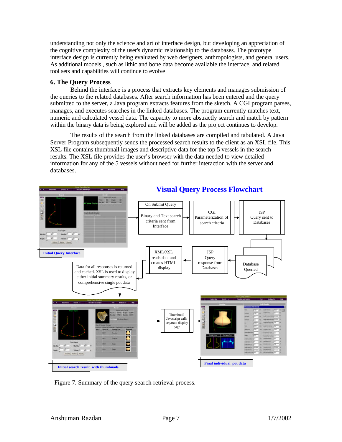understanding not only the science and art of interface design, but developing an appreciation of the cognitive complexity of the user's dynamic relationship to the databases. The prototype interface design is currently being evaluated by web designers, anthropologists, and general users. As additional models , such as lithic and bone data become available the interface, and related tool sets and capabilities will continue to evolve.

### **6. The Query Process**

Behind the interface is a process that extracts key elements and manages submission of the queries to the related databases. After search information has been entered and the query submitted to the server, a Java program extracts features from the sketch. A CGI program parses, manages, and executes searches in the linked databases. The program currently matches text, numeric and calculated vessel data. The capacity to more abstractly search and match by pattern within the binary data is being explored and will be added as the project continues to develop.

The results of the search from the linked databases are compiled and tabulated. A Java Server Program subsequently sends the processed search results to the client as an XSL file. This XSL file contains thumbnail images and descriptive data for the top 5 vessels in the search results. The XSL file provides the user's browser with the data needed to view detailed information for any of the 5 vessels without need for further interaction with the server and databases.



# **Visual Query Process Flowchart**

Figure 7. Summary of the query-search-retrieval process.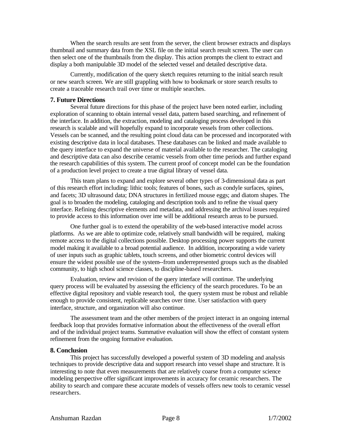When the search results are sent from the server, the client browser extracts and displays thumbnail and summary data from the XSL file on the initial search result screen. The user can then select one of the thumbnails from the display. This action prompts the client to extract and display a both manipulable 3D model of the selected vessel and detailed descriptive data.

Currently, modification of the query sketch requires returning to the initial search result or new search screen. We are still grappling with how to bookmark or store search results to create a traceable research trail over time or multiple searches.

#### **7. Future Directions**

Several future directions for this phase of the project have been noted earlier, including exploration of scanning to obtain internal vessel data, pattern based searching, and refinement of the interface. In addition, the extraction, modeling and cataloging process developed in this research is scalable and will hopefully expand to incorporate vessels from other collections. Vessels can be scanned, and the resulting point cloud data can be processed and incorporated with existing descriptive data in local databases. These databases can be linked and made available to the query interface to expand the universe of material available to the researcher. The cataloging and descriptive data can also describe ceramic vessels from other time periods and further expand the research capabilities of this system. The current proof of concept model can be the foundation of a production level project to create a true digital library of vessel data.

This team plans to expand and explore several other types of 3-dimensional data as part of this research effort including: lithic tools; features of bones, such as condyle surfaces, spines, and facets; 3D ultrasound data; DNA structures in fertilized mouse eggs; and diatom shapes. The goal is to broaden the modeling, cataloging and description tools and to refine the visual query interface. Refining descriptive elements and metadata, and addressing the archival issues required to provide access to this information over ime will be additional research areas to be pursued.

One further goal is to extend the operability of the web-based interactive model across platforms. As we are able to optimize code, relatively small bandwidth will be required, making remote access to the digital collections possible. Desktop processing power supports the current model making it available to a broad potential audience. In addition, incorporating a wide variety of user inputs such as graphic tablets, touch screens, and other biometric control devices will ensure the widest possible use of the system--from underrepresented groups such as the disabled community, to high school science classes, to discipline-based researchers.

Evaluation, review and revision of the query interface will continue. The underlying query process will be evaluated by assessing the efficiency of the search procedures. To be an effective digital repository and viable research tool, the query system must be robust and reliable enough to provide consistent, replicable searches over time. User satisfaction with query interface, structure, and organization will also continue.

The assessment team and the other members of the project interact in an ongoing internal feedback loop that provides formative information about the effectiveness of the overall effort and of the individual project teams. Summative evaluation will show the effect of constant system refinement from the ongoing formative evaluation.

#### **8. Conclusion**

This project has successfully developed a powerful system of 3D modeling and analysis techniques to provide descriptive data and support research into vessel shape and structure. It is interesting to note that even measurements that are relatively coarse from a computer science modeling perspective offer significant improvements in accuracy for ceramic researchers. The ability to search and compare these accurate models of vessels offers new tools to ceramic vessel researchers.